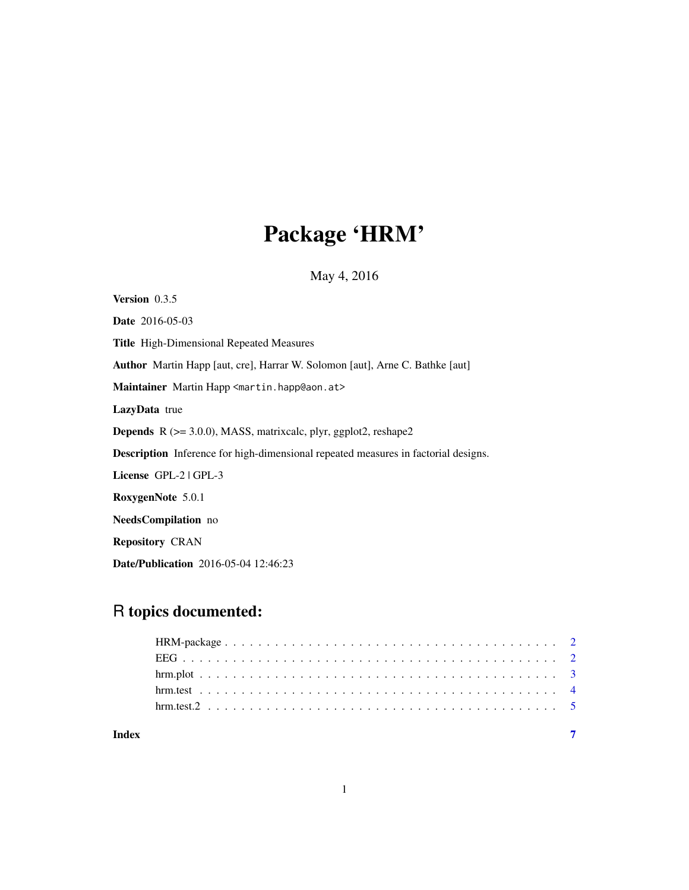## Package 'HRM'

May 4, 2016

Version 0.3.5 Date 2016-05-03 Title High-Dimensional Repeated Measures Author Martin Happ [aut, cre], Harrar W. Solomon [aut], Arne C. Bathke [aut] Maintainer Martin Happ <martin.happ@aon.at> LazyData true Depends R (>= 3.0.0), MASS, matrixcalc, plyr, ggplot2, reshape2 Description Inference for high-dimensional repeated measures in factorial designs. License GPL-2 | GPL-3 RoxygenNote 5.0.1 NeedsCompilation no Repository CRAN Date/Publication 2016-05-04 12:46:23

### R topics documented:

| Index |  |
|-------|--|
|       |  |
|       |  |
|       |  |
|       |  |
|       |  |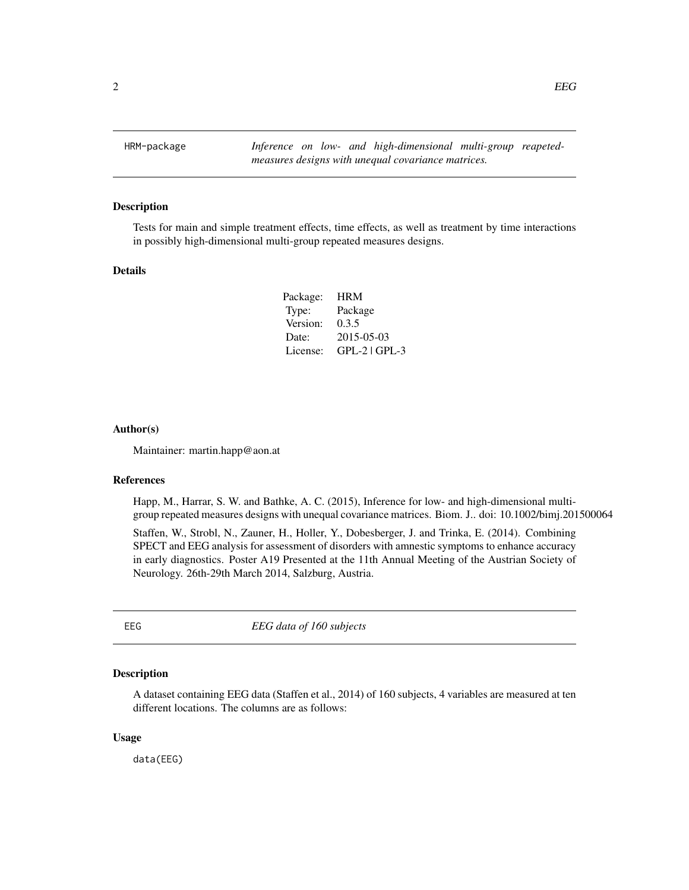<span id="page-1-0"></span>HRM-package *Inference on low- and high-dimensional multi-group reapetedmeasures designs with unequal covariance matrices.*

#### Description

Tests for main and simple treatment effects, time effects, as well as treatment by time interactions in possibly high-dimensional multi-group repeated measures designs.

#### Details

| Package: | <b>HRM</b>      |
|----------|-----------------|
| Type:    | Package         |
| Version: | 0.3.5           |
| Date:    | 2015-05-03      |
| License: | $GPL-2$ $GPL-3$ |
|          |                 |

#### Author(s)

Maintainer: martin.happ@aon.at

#### References

Happ, M., Harrar, S. W. and Bathke, A. C. (2015), Inference for low- and high-dimensional multigroup repeated measures designs with unequal covariance matrices. Biom. J.. doi: 10.1002/bimj.201500064

Staffen, W., Strobl, N., Zauner, H., Holler, Y., Dobesberger, J. and Trinka, E. (2014). Combining SPECT and EEG analysis for assessment of disorders with amnestic symptoms to enhance accuracy in early diagnostics. Poster A19 Presented at the 11th Annual Meeting of the Austrian Society of Neurology. 26th-29th March 2014, Salzburg, Austria.

EEG *EEG data of 160 subjects*

#### Description

A dataset containing EEG data (Staffen et al., 2014) of 160 subjects, 4 variables are measured at ten different locations. The columns are as follows:

#### Usage

data(EEG)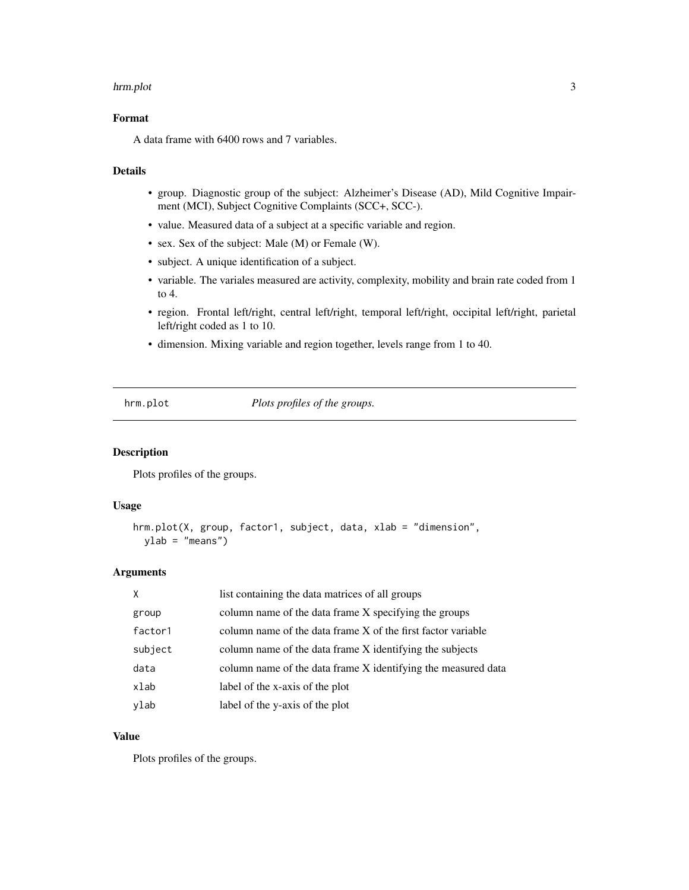#### <span id="page-2-0"></span>hrm.plot 3

#### Format

A data frame with 6400 rows and 7 variables.

#### Details

- group. Diagnostic group of the subject: Alzheimer's Disease (AD), Mild Cognitive Impairment (MCI), Subject Cognitive Complaints (SCC+, SCC-).
- value. Measured data of a subject at a specific variable and region.
- sex. Sex of the subject: Male (M) or Female (W).
- subject. A unique identification of a subject.
- variable. The variales measured are activity, complexity, mobility and brain rate coded from 1 to 4.
- region. Frontal left/right, central left/right, temporal left/right, occipital left/right, parietal left/right coded as 1 to 10.
- dimension. Mixing variable and region together, levels range from 1 to 40.

hrm.plot *Plots profiles of the groups.*

#### Description

Plots profiles of the groups.

#### Usage

```
hrm.plot(X, group, factor1, subject, data, xlab = "dimension",
 ylab = "means")
```
#### Arguments

| X       | list containing the data matrices of all groups               |
|---------|---------------------------------------------------------------|
| group   | column name of the data frame X specifying the groups         |
| factor1 | column name of the data frame X of the first factor variable  |
| subject | column name of the data frame X identifying the subjects      |
| data    | column name of the data frame X identifying the measured data |
| xlab    | label of the x-axis of the plot                               |
| ylab    | label of the y-axis of the plot                               |

#### Value

Plots profiles of the groups.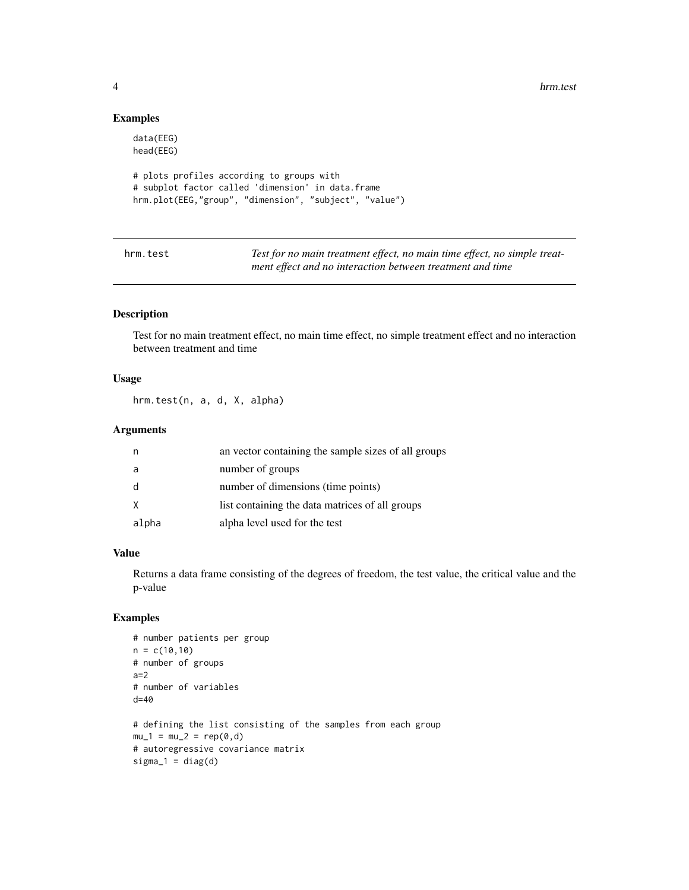4 hrm.test

#### Examples

```
data(EEG)
head(EEG)
# plots profiles according to groups with
# subplot factor called 'dimension' in data.frame
hrm.plot(EEG,"group", "dimension", "subject", "value")
```
hrm.test *Test for no main treatment effect, no main time effect, no simple treatment effect and no interaction between treatment and time*

#### Description

Test for no main treatment effect, no main time effect, no simple treatment effect and no interaction between treatment and time

#### Usage

hrm.test(n, a, d, X, alpha)

#### **Arguments**

| n     | an vector containing the sample sizes of all groups |
|-------|-----------------------------------------------------|
| a     | number of groups                                    |
| d     | number of dimensions (time points)                  |
| X     | list containing the data matrices of all groups     |
| alpha | alpha level used for the test                       |

#### Value

Returns a data frame consisting of the degrees of freedom, the test value, the critical value and the p-value

#### Examples

```
# number patients per group
n = c(10,10)# number of groups
a=2
# number of variables
d=40
# defining the list consisting of the samples from each group
mu_1 = mu_2 = rep(0, d)# autoregressive covariance matrix
sigma_1 = diag(d)
```
<span id="page-3-0"></span>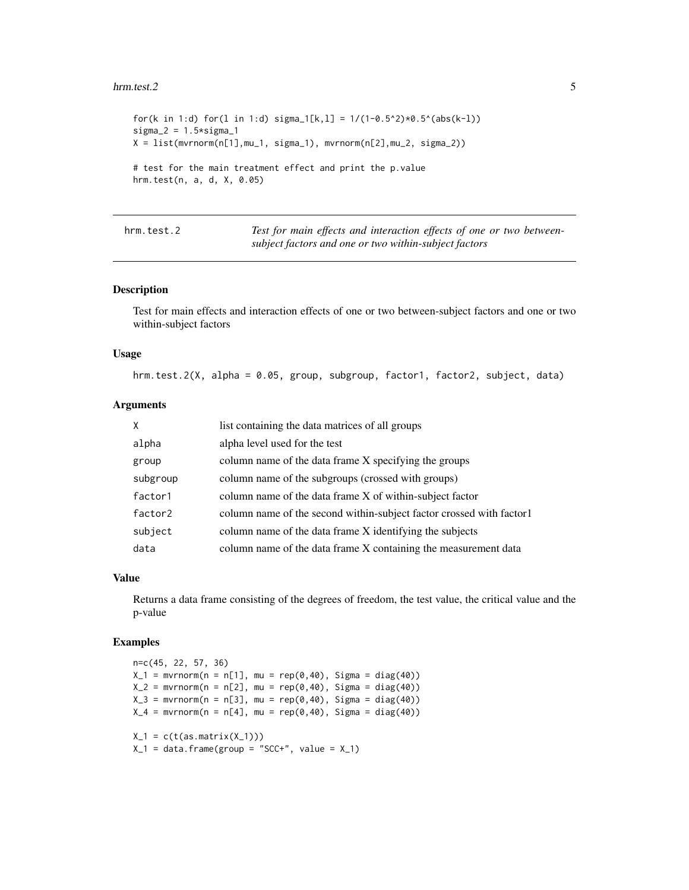#### <span id="page-4-0"></span>hrm.test.2 5

```
for(k in 1:d) for(l in 1:d) sigma_1[k,1] = 1/(1-0.5^2)*0.5^(abs(k-1))sigma_2 = 1.5*sigma_1X = list(mvrnorm(n[1], mu_1, sigma_1), mvrnorm(n[2], mu_2, sigma_2))# test for the main treatment effect and print the p.value
hrm.test(n, a, d, X, 0.05)
```

| hrm.test.2 | Test for main effects and interaction effects of one or two between- |
|------------|----------------------------------------------------------------------|
|            | subject factors and one or two within-subject factors                |

#### Description

Test for main effects and interaction effects of one or two between-subject factors and one or two within-subject factors

#### Usage

hrm.test.2(X, alpha = 0.05, group, subgroup, factor1, factor2, subject, data)

#### Arguments

| X        | list containing the data matrices of all groups                      |
|----------|----------------------------------------------------------------------|
| alpha    | alpha level used for the test                                        |
| group    | column name of the data frame X specifying the groups                |
| subgroup | column name of the subgroups (crossed with groups)                   |
| factor1  | column name of the data frame X of within-subject factor             |
| factor2  | column name of the second within-subject factor crossed with factor1 |
| subject  | column name of the data frame X identifying the subjects             |
| data     | column name of the data frame X containing the measurement data      |

#### Value

Returns a data frame consisting of the degrees of freedom, the test value, the critical value and the p-value

#### Examples

```
n=c(45, 22, 57, 36)
X_1 = mvrnorm(n = n[1], mu = rep(0, 40), Sigma = diag(40))X_2 = mvrnorm(n = n[2], mu = rep(0, 40), Sigma = diag(40))X_3 = mvrnorm(n = n[3], mu = rep(0,40), Sigma = diag(40))
X_4 = mvrnorm(n = n[4], mu = rep(0,40), Sigma = diag(40))
X_1 = c(t(as.matrix(X_1)))X_1 = data. frame(group = "SCC+", value = X_1)
```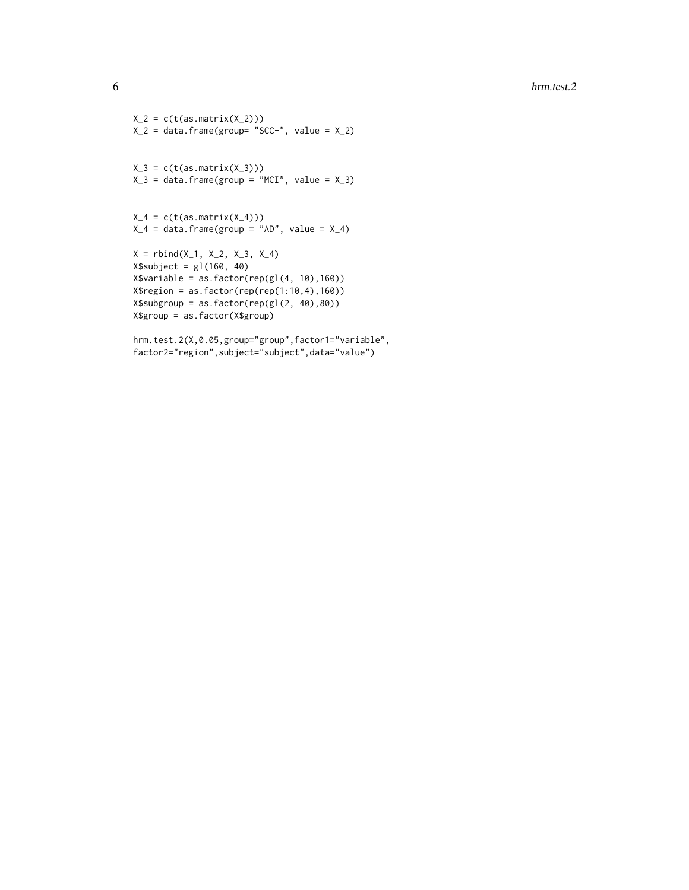```
X_2 = c(t(as.matrix(X_2)))X_2 = data-frame(group = "SCC-", value = X_2)X_3 = c(t(as.matrix(X_3)))X_3 = data.frame(group = "MCI", value = X_3)
X_4 = c(t(as.matrix(X_4)))X_4 = data. frame(group = "AD", value = X_4)
X = rbind(X_1, X_2, X_3, X_4)
X$subject = gl(160, 40)X$variable = as.factor(rep(gl(4, 10),160))
X$region = as.factor(rep(rep(1:10,4),160))
X$subgroup = as.factor(rep(gl(2, 40),80))
X$group = as.factor(X$group)
```
hrm.test.2(X,0.05,group="group",factor1="variable", factor2="region",subject="subject",data="value")